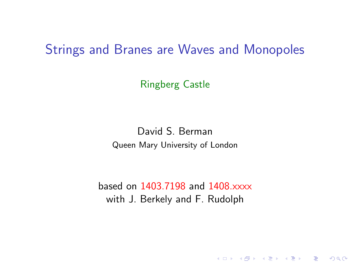### <span id="page-0-1"></span>Strings and Branes are Waves and Monopoles

Ringberg Castle

David S. Berman Queen Mary University of London

<span id="page-0-0"></span>based on 1403.7198 and 1408.xxxx with J. Berkely and F. Rudolph

(ロ) (御) (君) (君) (君) 君 のぬの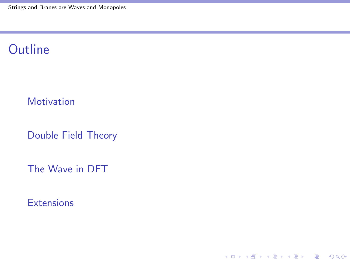## **Outline**

#### **[Motivation](#page-2-0)**

[Double Field Theory](#page-6-0)

[The Wave in DFT](#page-13-0)

K ロ X イロ X K ミ X K ミ X ミ X Y Q Q Q

**[Extensions](#page-26-0)**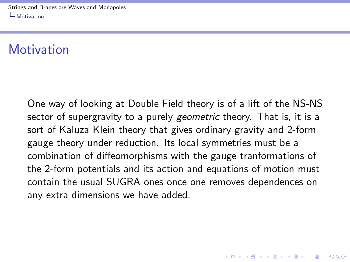[Strings and Branes are Waves and Monopoles](#page-0-0) [Motivation](#page-2-0)

### **Motivation**

<span id="page-2-0"></span>One way of looking at Double Field theory is of a lift of the NS-NS sector of supergravity to a purely geometric theory. That is, it is a sort of Kaluza Klein theory that gives ordinary gravity and 2-form gauge theory under reduction. Its local symmetries must be a combination of diffeomorphisms with the gauge tranformations of the 2-form potentials and its action and equations of motion must contain the usual SUGRA ones once one removes dependences on any extra dimensions we have added.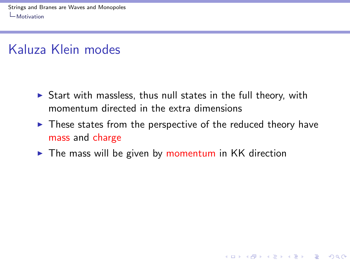## Kaluza Klein modes

- $\triangleright$  Start with massless, thus null states in the full theory, with momentum directed in the extra dimensions
- $\triangleright$  These states from the perspective of the reduced theory have mass and charge

**KORKA SERKER ORA** 

<span id="page-3-0"></span> $\triangleright$  The mass will be given by momentum in KK direction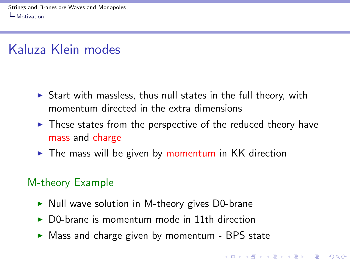## Kaluza Klein modes

- $\triangleright$  Start with massless, thus null states in the full theory, with momentum directed in the extra dimensions
- $\triangleright$  These states from the perspective of the reduced theory have mass and charge
- $\triangleright$  The mass will be given by momentum in KK direction

#### M-theory Example

- $\triangleright$  Null wave solution in M-theory gives D0-brane
- $\triangleright$  D0-brane is momentum mode in 11th direction
- <span id="page-4-0"></span> $\triangleright$  Mass and charge given by momentum - BPS state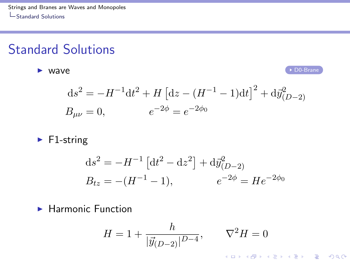## Standard Solutions

<span id="page-5-1"></span>► WAVE PRIMER PRIMER PRIMER PRIMER PRIMER PRIMER PRIMER PRIMER PRIMER PRIMER PRIMER PRIMER PRIMER PRIMER PRIMER PRIMER PRIMER PRIMER PRIMER PRIMER PRIMER PRIMER PRIMER PRIMER PRIMER PRIMER PRIMER PRIMER PRIMER PRIMER PRIM

K ロ ▶ K @ ▶ K 할 > K 할 > 1 할 > 1 이익어

$$
ds^{2} = -H^{-1}dt^{2} + H \left[ dz - (H^{-1} - 1)dt \right]^{2} + d\vec{y}_{(D-2)}^{2}
$$
  

$$
B_{\mu\nu} = 0, \qquad e^{-2\phi} = e^{-2\phi_{0}}
$$

 $\blacktriangleright$  F1-string

$$
ds^{2} = -H^{-1} \left[ dt^{2} - dz^{2} \right] + d\vec{y}_{(D-2)}^{2}
$$
  
\n
$$
B_{tz} = -(H^{-1} - 1), \qquad e^{-2\phi} = He^{-2\phi_{0}}
$$

<span id="page-5-0"></span> $\blacktriangleright$  Harmonic Function

$$
H = 1 + \frac{h}{|\vec{y}_{(D-2)}|^{D-4}}, \qquad \nabla^2 H = 0
$$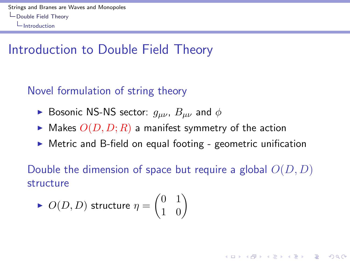## Introduction to Double Field Theory

#### Novel formulation of string theory

- **Bosonic NS-NS sector:**  $g_{\mu\nu}$ ,  $B_{\mu\nu}$  and  $\phi$
- $\blacktriangleright$  Makes  $O(D, D; R)$  a manifest symmetry of the action
- $\triangleright$  Metric and B-field on equal footing geometric unification

Double the dimension of space but require a global  $O(D, D)$ structure

**KORKAR KERKER EL VOLO** 

<span id="page-6-0"></span>
$$
\blacktriangleright \ O(D,D) \text{ structure } \eta = \begin{pmatrix} 0 & 1 \\ 1 & 0 \end{pmatrix}
$$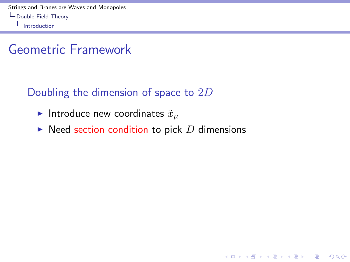### Geometric Framework

### Doubling the dimension of space to 2D

- Introduce new coordinates  $\tilde{x}_\mu$
- <span id="page-7-0"></span> $\triangleright$  Need section condition to pick D dimensions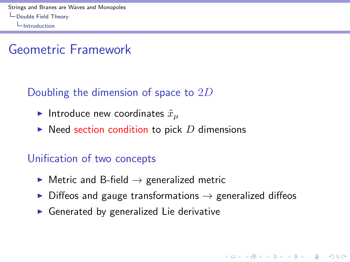### Geometric Framework

### Doubling the dimension of space to  $2D$

- Introduce new coordinates  $\tilde{x}_\mu$
- $\triangleright$  Need section condition to pick D dimensions

#### Unification of two concepts

- $\triangleright$  Metric and B-field  $\rightarrow$  generalized metric
- $\triangleright$  Diffeos and gauge transformations  $\rightarrow$  generalized diffeos

**KORKA SERKER ORA** 

<span id="page-8-0"></span> $\triangleright$  Generated by generalized Lie derivative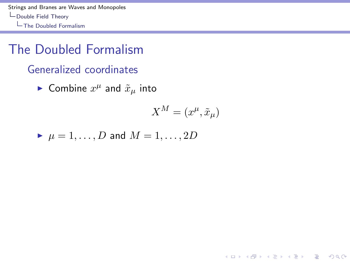[Strings and Branes are Waves and Monopoles](#page-0-0) [Double Field Theory](#page-9-0) [The Doubled Formalism](#page-9-0)

### The Doubled Formalism

Generalized coordinates

 $\blacktriangleright$  Combine  $x^{\mu}$  and  $\tilde{x}_{\mu}$  into

$$
X^M = (x^\mu, \tilde{x}_\mu)
$$

**K ロ ▶ K @ ▶ K 할 X X 할 X → 할 X → 9 Q Q ^** 

<span id="page-9-0"></span>
$$
\blacktriangleright \mu = 1, \ldots, D \text{ and } M = 1, \ldots, 2D
$$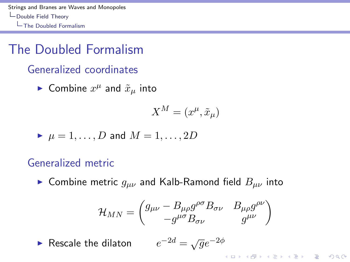[Strings and Branes are Waves and Monopoles](#page-0-0) [Double Field Theory](#page-10-0) [The Doubled Formalism](#page-10-0)

## The Doubled Formalism

#### Generalized coordinates

 $\blacktriangleright$  Combine  $x^{\mu}$  and  $\tilde{x}_{\mu}$  into

$$
X^M=(x^\mu,\tilde{x}_\mu)
$$

$$
\blacktriangleright \mu = 1, \ldots, D \text{ and } M = 1, \ldots, 2D
$$

#### Generalized metric

► Combine metric  $g_{\mu\nu}$  and Kalb-Ramond field  $B_{\mu\nu}$  into

$$
\mathcal{H}_{MN} = \begin{pmatrix} g_{\mu\nu} - B_{\mu\rho}g^{\rho\sigma}B_{\sigma\nu} & B_{\mu\rho}g^{\rho\nu} \\ -g^{\mu\sigma}B_{\sigma\nu} & g^{\mu\nu} \end{pmatrix}
$$

<span id="page-10-0"></span> $\blacktriangleright$  Rescale the dilaton  $-2d = \sqrt{g}e^{-2\phi}$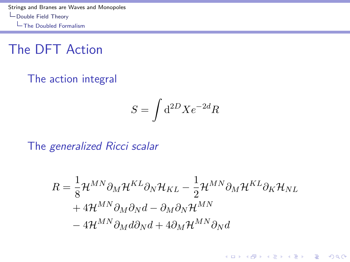[Strings and Branes are Waves and Monopoles](#page-0-0) [Double Field Theory](#page-11-0) [The Doubled Formalism](#page-11-0)

The DFT Action

The action integral

$$
S = \int \mathrm{d}^{2D} X e^{-2d} R
$$

The generalized Ricci scalar

<span id="page-11-0"></span>
$$
R = \frac{1}{8} \mathcal{H}^{MN} \partial_M \mathcal{H}^{KL} \partial_N \mathcal{H}_{KL} - \frac{1}{2} \mathcal{H}^{MN} \partial_M \mathcal{H}^{KL} \partial_K \mathcal{H}_{NL}
$$
  
+ 
$$
4 \mathcal{H}^{MN} \partial_M \partial_N d - \partial_M \partial_N \mathcal{H}^{MN}
$$
  
- 
$$
4 \mathcal{H}^{MN} \partial_M d \partial_N d + 4 \partial_M \mathcal{H}^{MN} \partial_N d
$$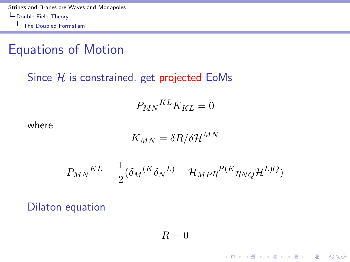### Equations of Motion

#### Since  $H$  is constrained, get projected EoMs

$$
P_{MN}{}^{KL}K_{KL} = 0
$$

where

$$
K_{MN}=\delta R/\delta {\cal H}^{MN}
$$

$$
P_{MN}{}^{KL} = \frac{1}{2} (\delta_M{}^{(K} \delta_N{}^{L)} - \mathcal{H}_{MP} \eta^{P(K} \eta_{NQ} \mathcal{H}^{L)Q})
$$

<span id="page-12-0"></span>Dilaton equation

 $R = 0$ 

**K ロ ▶ K @ ▶ K 할 X X 할 X → 할 X → 9 Q Q ^**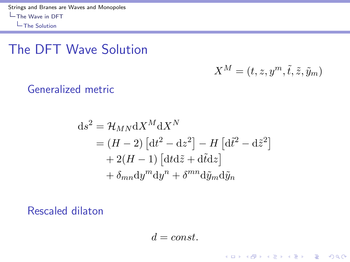### The DFT Wave Solution

$$
X^M = (t, z, y^m, \tilde{t}, \tilde{z}, \tilde{y}_m)
$$

K ロ ▶ K @ ▶ K 할 > K 할 > 1 할 > 1 이익어

Generalized metric

$$
ds^{2} = \mathcal{H}_{MN} dX^{M} dX^{N}
$$
  
=  $(H - 2) [dt^{2} - dz^{2}] - H [d\tilde{t}^{2} - d\tilde{z}^{2}]$   
+  $2(H - 1) [dt d\tilde{z} + d\tilde{t} dz]$   
+  $\delta_{mn} dy^{m} dy^{n} + \delta^{mn} d\tilde{y}_{m} d\tilde{y}_{n}$ 

<span id="page-13-0"></span>Rescaled dilaton

 $d = const.$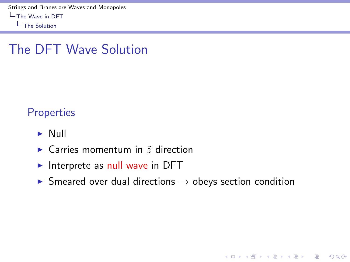[The Solution](#page-14-0)

## The DFT Wave Solution

**Properties** 

- $\blacktriangleright$  Null
- $\triangleright$  Carries momentum in  $\tilde{z}$  direction
- $\blacktriangleright$  Interprete as null wave in DFT
- <span id="page-14-0"></span> $\triangleright$  Smeared over dual directions  $\rightarrow$  obeys section condition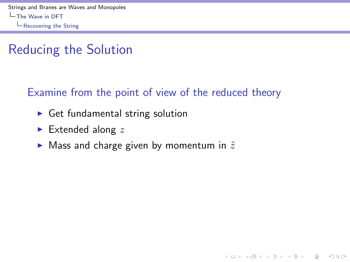## Reducing the Solution

#### Examine from the point of view of the reduced theory

- $\triangleright$  Get fundamental string solution
- $\blacktriangleright$  Extended along z
- <span id="page-15-0"></span> $\blacktriangleright$  Mass and charge given by momentum in  $\tilde{z}$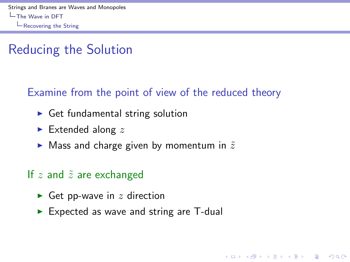## Reducing the Solution

### Examine from the point of view of the reduced theory

**KORKA SERKER ORA** 

- $\triangleright$  Get fundamental string solution
- $\blacktriangleright$  Extended along z
- $\blacktriangleright$  Mass and charge given by momentum in  $\tilde{z}$

#### If  $z$  and  $\tilde{z}$  are exchanged

- Get pp-wave in  $z$  direction
- <span id="page-16-0"></span> $\triangleright$  Expected as wave and string are T-dual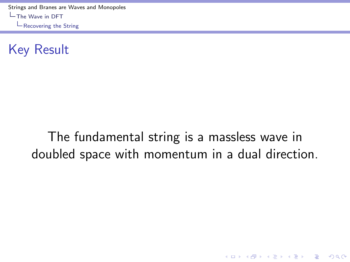[Strings and Branes are Waves and Monopoles](#page-0-0) [The Wave in DFT](#page-17-0)

[Recovering the String](#page-17-0)

Key Result

## <span id="page-17-0"></span>The fundamental string is a massless wave in doubled space with momentum in a dual direction.

K ロ ▶ K @ ▶ K 할 > K 할 > 1 할 > 1 이익어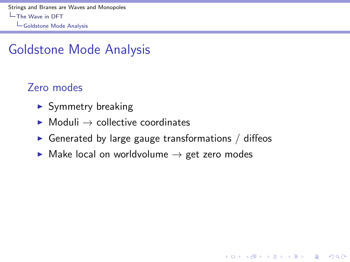[Strings and Branes are Waves and Monopoles](#page-0-0) [The Wave in DFT](#page-18-0) [Goldstone Mode Analysis](#page-18-0)

### Goldstone Mode Analysis

### Zero modes

- $\blacktriangleright$  Symmetry breaking
- $\triangleright$  Moduli  $\rightarrow$  collective coordinates
- $\triangleright$  Generated by large gauge transformations / diffeos

**KORKA SERKER ORA** 

<span id="page-18-0"></span> $\triangleright$  Make local on worldvolume  $\rightarrow$  get zero modes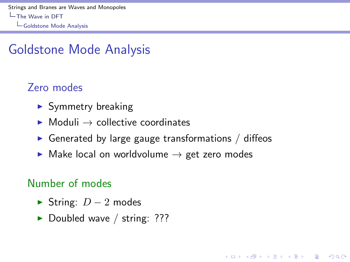[Strings and Branes are Waves and Monopoles](#page-0-0) [The Wave in DFT](#page-19-0) [Goldstone Mode Analysis](#page-19-0)

### Goldstone Mode Analysis

### Zero modes

- $\blacktriangleright$  Symmetry breaking
- $\triangleright$  Moduli  $\rightarrow$  collective coordinates
- $\triangleright$  Generated by large gauge transformations / diffeos

**KORKA SERKER ORA** 

 $\triangleright$  Make local on worldvolume  $\rightarrow$  get zero modes

### Number of modes

- $\triangleright$  String:  $D-2$  modes
- <span id="page-19-0"></span> $\blacktriangleright$  Doubled wave / string: ???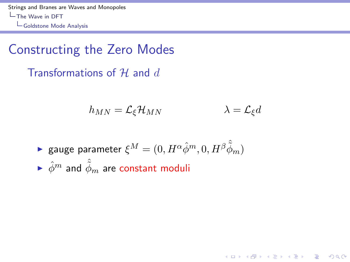[Strings and Branes are Waves and Monopoles](#page-0-0)  $L$ [The Wave in DFT](#page-20-0) [Goldstone Mode Analysis](#page-20-0)

### Constructing the Zero Modes

Transformations of  $H$  and  $d$ 

$$
h_{MN} = \mathcal{L}_{\xi} \mathcal{H}_{MN} \qquad \lambda = \mathcal{L}_{\xi} d
$$

**K ロ ▶ K @ ▶ K 할 X X 할 X → 할 X → 9 Q Q ^** 

<span id="page-20-0"></span>
$$
\begin{array}{ll}\text{ \textbf{e} gauge parameter }\xi^M=(0,H^\alpha\hat{\phi}^m,0,H^\beta\hat{\tilde{\phi}}_m)\\ \text{ \textbf{e} $\hat{\phi}^m$ and $\hat{\tilde{\phi}}_m$ are constant moduli}\end{array}
$$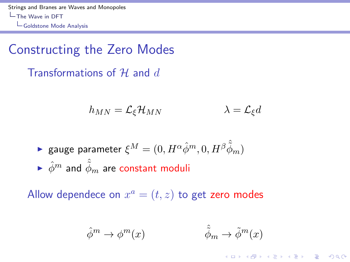[Strings and Branes are Waves and Monopoles](#page-0-0) [The Wave in DFT](#page-21-0) [Goldstone Mode Analysis](#page-21-0)

### Constructing the Zero Modes

Transformations of  $H$  and  $d$ 

$$
h_{MN} = \mathcal{L}_{\xi} \mathcal{H}_{MN} \qquad \lambda = \mathcal{L}_{\xi} d
$$

$$
\begin{array}{ll}\text{ \textbf{e} gauge parameter }\xi^M=(0,H^\alpha\hat{\phi}^m,0,H^\beta\hat{\tilde{\phi}}_m)\\ \text{ \textbf{e} $\hat{\phi}^m$ and $\hat{\tilde{\phi}}_m$ are constant moduli}\end{array}
$$

<span id="page-21-0"></span>Allow dependece on  $x^a = (t, z)$  to get zero modes

$$
\hat{\phi}^m \to \phi^m(x) \qquad \qquad \hat{\phi}_m \to \tilde{\phi}^m(x)
$$

K ロ ▶ K @ ▶ K 할 > K 할 > 1 할 > 1 이익어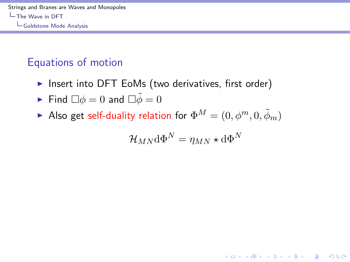### Equations of motion

Insert into DFT EoMs (two derivatives, first order)

• Find 
$$
\Box \phi = 0
$$
 and  $\Box \tilde{\phi} = 0$ 

<span id="page-22-0"></span>Also get self-duality relation for  $\Phi^M = (0, \phi^m, 0, \tilde{\phi}_m)$ 

$$
\mathcal{H}_{MN} \mathrm{d} \Phi^N = \eta_{MN} \star \mathrm{d} \Phi^N
$$

K ロ ▶ K @ ▶ K 할 > K 할 > 1 할 > 1 이익어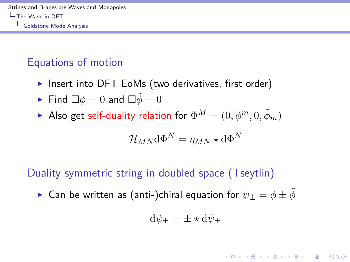### Equations of motion

 $\triangleright$  Insert into DFT EoMs (two derivatives, first order)

• Find 
$$
\Box \phi = 0
$$
 and  $\Box \tilde{\phi} = 0$ 

Also get self-duality relation for  $\Phi^M = (0, \phi^m, 0, \tilde{\phi}_m)$ 

$$
\mathcal{H}_{MN} \mathrm{d} \Phi^N = \eta_{MN} \star \mathrm{d} \Phi^N
$$

### Duality symmetric string in doubled space (Tseytlin)

<span id="page-23-0"></span> $\blacktriangleright$  Can be written as (anti-)chiral equation for  $\psi_+ = \phi \pm \tilde{\phi}$ 

$$
\mathrm{d}\psi_\pm = \pm \star \mathrm{d}\psi_\pm
$$

**KORKAR KERKER EL VOLO**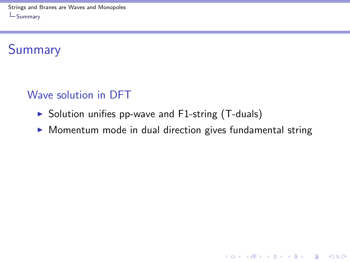[Strings and Branes are Waves and Monopoles](#page-0-0) [Summary](#page-24-0)

## Summary

#### Wave solution in DFT

- $\triangleright$  Solution unifies pp-wave and F1-string (T-duals)
- <span id="page-24-0"></span> $\triangleright$  Momentum mode in dual direction gives fundamental string

K ロ ▶ K @ ▶ K 할 > K 할 > 1 할 > 1 이익어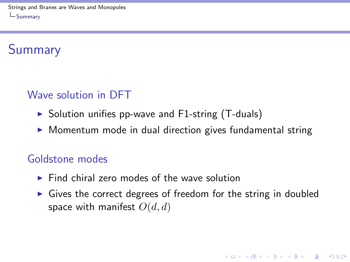# **Summary**

### Wave solution in DFT

- $\triangleright$  Solution unifies pp-wave and F1-string (T-duals)
- $\triangleright$  Momentum mode in dual direction gives fundamental string

#### Goldstone modes

- $\triangleright$  Find chiral zero modes of the wave solution
- <span id="page-25-0"></span> $\triangleright$  Gives the correct degrees of freedom for the string in doubled space with manifest  $O(d, d)$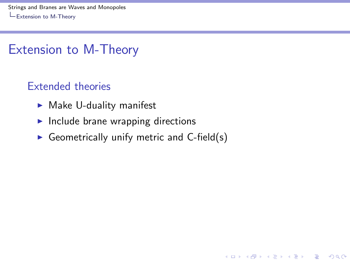[Strings and Branes are Waves and Monopoles](#page-0-0) [Extension to M-Theory](#page-26-0)

### Extension to M-Theory

#### Extended theories

- $\blacktriangleright$  Make U-duality manifest
- $\blacktriangleright$  Include brane wrapping directions
- <span id="page-26-0"></span>Geometrically unify metric and  $C$ -field(s)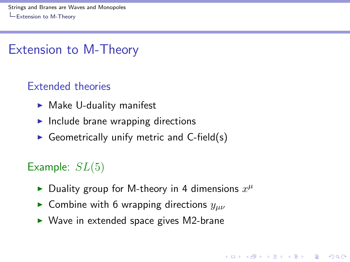[Strings and Branes are Waves and Monopoles](#page-0-0) [Extension to M-Theory](#page-27-0)

### Extension to M-Theory

#### Extended theories

- $\blacktriangleright$  Make U-duality manifest
- $\blacktriangleright$  Include brane wrapping directions
- Geometrically unify metric and  $C$ -field(s)

### Example:  $SL(5)$

Duality group for M-theory in 4 dimensions  $x^{\mu}$ 

- **Combine with 6 wrapping directions**  $y_{\mu\nu}$
- <span id="page-27-0"></span> $\triangleright$  Wave in extended space gives M2-brane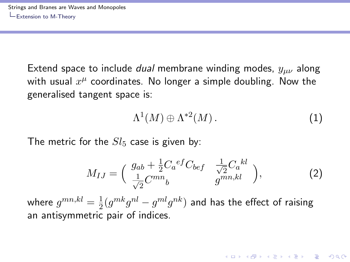Extend space to include *dual* membrane winding modes,  $y_{\mu\nu}$  along with usual  $x^\mu$  coordinates. No longer a simple doubling. Now the generalised tangent space is:

$$
\Lambda^1(M) \oplus \Lambda^{*2}(M). \tag{1}
$$

**KORKAR KERKER EL VOLO** 

The metric for the  $Sl_5$  case is given by:

$$
M_{IJ} = \begin{pmatrix} g_{ab} + \frac{1}{2} C_a{}^{ef} C_{bef} & \frac{1}{\sqrt{2}} C_a{}^{kl} \\ \frac{1}{\sqrt{2}} C^{mn}{}_b & g^{mn,kl} \end{pmatrix},
$$
 (2)

<span id="page-28-0"></span>where  $g^{mn,kl}=\frac{1}{2}$  $\frac{1}{2}(g^{mk}g^{nl}-g^{ml}g^{nk})$  and has the effect of raising an antisymmetric pair of indices.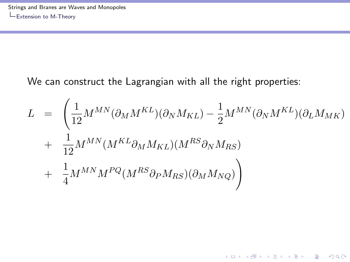We can construct the Lagrangian with all the right properties:

<span id="page-29-0"></span>
$$
L = \left(\frac{1}{12}M^{MN}(\partial_{M}M^{KL})(\partial_{N}M_{KL}) - \frac{1}{2}M^{MN}(\partial_{N}M^{KL})(\partial_{L}M_{MK})\n+ \frac{1}{12}M^{MN}(M^{KL}\partial_{M}M_{KL})(M^{RS}\partial_{N}M_{RS})\n+ \frac{1}{4}M^{MN}M^{PQ}(M^{RS}\partial_{P}M_{RS})(\partial_{M}M_{NQ})\right)
$$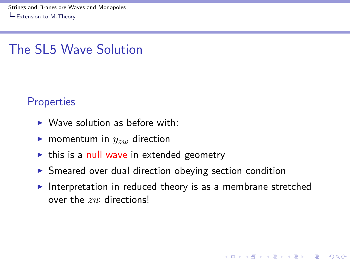[Strings and Branes are Waves and Monopoles](#page-0-0) [Extension to M-Theory](#page-30-0)

### The SL5 Wave Solution

#### **Properties**

- $\triangleright$  Wave solution as before with:
- **In momentum in**  $y_{zw}$  direction
- $\triangleright$  this is a null wave in extended geometry
- $\triangleright$  Smeared over dual direction obeying section condition
- <span id="page-30-0"></span>Interpretation in reduced theory is as a membrane stretched over the zw directions!

**KORK ERKER ADE YOUR**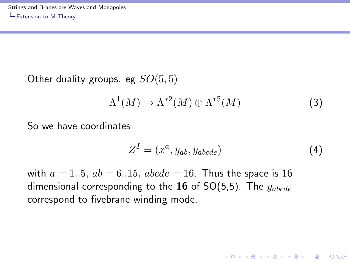Other duality groups. eg  $SO(5,5)$ 

$$
\Lambda^1(M) \to \Lambda^{*2}(M) \oplus \Lambda^{*5}(M) \tag{3}
$$

So we have coordinates

$$
Z^{I} = (x^{a}, y_{ab}, y_{abcde})
$$
 (4)

**KORK ERKER ADE YOUR** 

<span id="page-31-0"></span>with  $a = 1..5$ ,  $ab = 6..15$ ,  $abcde = 16$ . Thus the space is 16 dimensional corresponding to the 16 of  $SO(5,5)$ . The  $y_{abcde}$ correspond to fivebrane winding mode.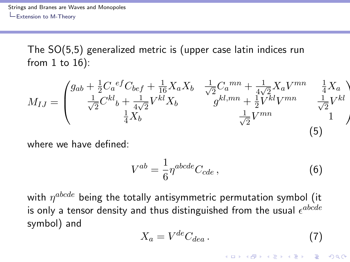The SO(5,5) generalized metric is (upper case latin indices run from 1 to 16):

$$
M_{IJ} = \begin{pmatrix} g_{ab} + \frac{1}{2} C_a^{ef} C_{bef} + \frac{1}{16} X_a X_b & \frac{1}{\sqrt{2}} C_a^{mn} + \frac{1}{4\sqrt{2}} X_a V^{mn} & \frac{1}{4} X_a \\ \frac{1}{\sqrt{2}} C^{kl} b + \frac{1}{4\sqrt{2}} V^{kl} X_b & g^{kl, mn} + \frac{1}{2} V^{kl} V^{mn} & \frac{1}{\sqrt{2}} V^{kl} \\ \frac{1}{4} X_b & \frac{1}{\sqrt{2}} V^{mn} & 1 \end{pmatrix}
$$
(5)

where we have defined:

$$
V^{ab} = \frac{1}{6} \eta^{abcde} C_{cde} \,, \tag{6}
$$

<span id="page-32-0"></span>with  $\eta^{abcde}$  being the totally antisymmetric permutation symbol (it is only a tensor density and thus distinguished from the usual  $\epsilon^{abcde}$ symbol) and

$$
X_a = V^{de} C_{dea} \,. \tag{7}
$$

4 D > 4 P + 4 B + 4 B + B + 9 Q O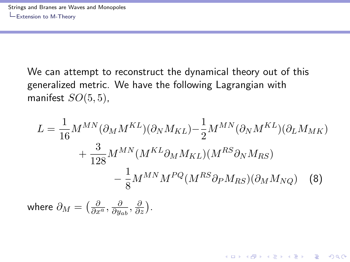We can attempt to reconstruct the dynamical theory out of this generalized metric. We have the following Lagrangian with manifest  $SO(5,5)$ ,

$$
L = \frac{1}{16} M^{MN} (\partial_M M^{KL}) (\partial_N M_{KL}) - \frac{1}{2} M^{MN} (\partial_N M^{KL}) (\partial_L M_{MK})
$$

$$
+ \frac{3}{128} M^{MN} (M^{KL} \partial_M M_{KL}) (M^{RS} \partial_N M_{RS})
$$

$$
- \frac{1}{8} M^{MN} M^{PQ} (M^{RS} \partial_P M_{RS}) (\partial_M M_{NQ})
$$
(8)

4 D > 4 P + 4 B + 4 B + B + 9 Q O

<span id="page-33-0"></span>where  $\partial_M = \bigl(\frac{\partial}{\partial x^a}, \frac{\partial}{\partial y_a}$  $\frac{\partial}{\partial y_{ab}}, \frac{\partial}{\partial z}\big).$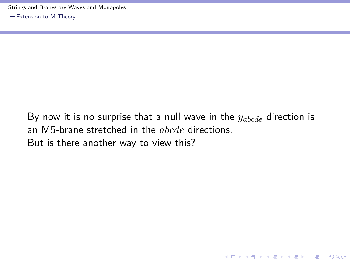<span id="page-34-0"></span>By now it is no surprise that a null wave in the  $y_{abcde}$  direction is an M5-brane stretched in the *abcde* directions. But is there another way to view this?

**KORK STRATER STRAKER**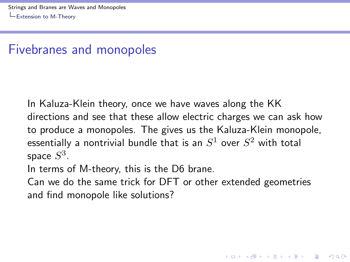### Fivebranes and monopoles

In Kaluza-Klein theory, once we have waves along the KK directions and see that these allow electric charges we can ask how to produce a monopoles. The gives us the Kaluza-Klein monopole, essentially a nontrivial bundle that is an  $S^1$  over  $S^2$  with total space  $S^3.$ 

In terms of M-theory, this is the D6 brane.

<span id="page-35-0"></span>Can we do the same trick for DFT or other extended geometries and find monopole like solutions?

**KORK ERKER ADE YOUR**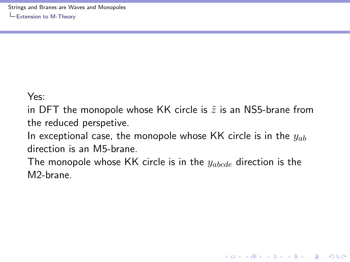#### Yes:

in DFT the monopole whose KK circle is  $\tilde{z}$  is an NS5-brane from the reduced perspetive.

In exceptional case, the monopole whose KK circle is in the  $y_{ab}$ direction is an M5-brane.

<span id="page-36-0"></span>The monopole whose KK circle is in the  $y_{abcde}$  direction is the M2-brane.

**KORK STRATER STRAKER**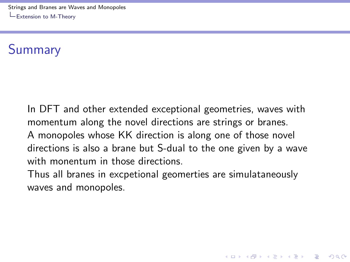[Strings and Branes are Waves and Monopoles](#page-0-0) [Extension to M-Theory](#page-37-0)

## Summary

In DFT and other extended exceptional geometries, waves with momentum along the novel directions are strings or branes. A monopoles whose KK direction is along one of those novel directions is also a brane but S-dual to the one given by a wave with monentum in those directions.

<span id="page-37-0"></span>Thus all branes in excpetional geomerties are simulataneously waves and monopoles.

**KORK STRATER STRAKER**